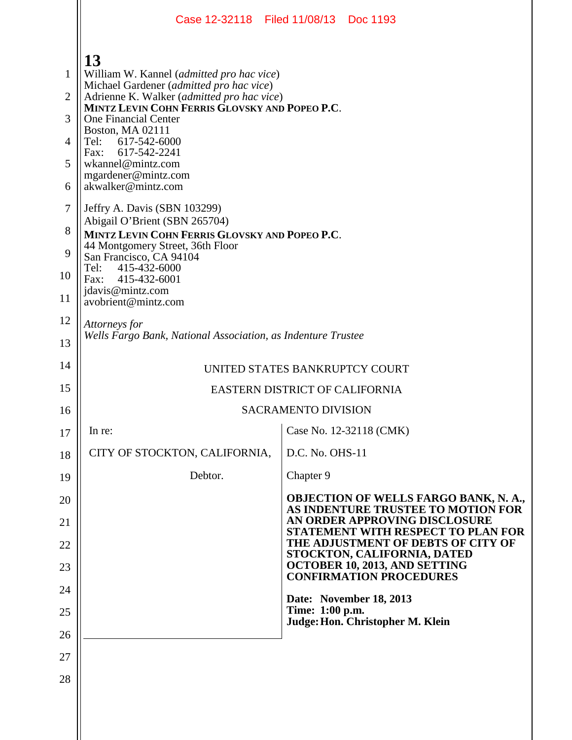|                                                                               |                                                                                                                                                                                                                                                                                                                                                                                                                                                                                                                                                                                                                                                | Case 12-32118 Filed 11/08/13 Doc 1193                                       |
|-------------------------------------------------------------------------------|------------------------------------------------------------------------------------------------------------------------------------------------------------------------------------------------------------------------------------------------------------------------------------------------------------------------------------------------------------------------------------------------------------------------------------------------------------------------------------------------------------------------------------------------------------------------------------------------------------------------------------------------|-----------------------------------------------------------------------------|
| $\mathbf{1}$<br>$\overline{2}$<br>3<br>4<br>5<br>6<br>7<br>8<br>9<br>10<br>11 | 13<br>William W. Kannel (admitted pro hac vice)<br>Michael Gardener (admitted pro hac vice)<br>Adrienne K. Walker (admitted pro hac vice)<br>MINTZ LEVIN COHN FERRIS GLOVSKY AND POPEO P.C.<br><b>One Financial Center</b><br><b>Boston, MA 02111</b><br>Tel:<br>617-542-6000<br>617-542-2241<br>Fax:<br>wkannel@mintz.com<br>mgardener@mintz.com<br>akwalker@mintz.com<br>Jeffry A. Davis (SBN 103299)<br>Abigail O'Brient (SBN 265704)<br>MINTZ LEVIN COHN FERRIS GLOVSKY AND POPEO P.C.<br>44 Montgomery Street, 36th Floor<br>San Francisco, CA 94104<br>Tel: 415-432-6000<br>Fax: 415-432-6001<br>jdavis@mintz.com<br>avobrient@mintz.com |                                                                             |
| 12<br>13                                                                      | Attorneys for<br>Wells Fargo Bank, National Association, as Indenture Trustee                                                                                                                                                                                                                                                                                                                                                                                                                                                                                                                                                                  |                                                                             |
| 14                                                                            | UNITED STATES BANKRUPTCY COURT                                                                                                                                                                                                                                                                                                                                                                                                                                                                                                                                                                                                                 |                                                                             |
| 15                                                                            | EASTERN DISTRICT OF CALIFORNIA                                                                                                                                                                                                                                                                                                                                                                                                                                                                                                                                                                                                                 |                                                                             |
| 16                                                                            |                                                                                                                                                                                                                                                                                                                                                                                                                                                                                                                                                                                                                                                | <b>SACRAMENTO DIVISION</b>                                                  |
| 17                                                                            | In re:                                                                                                                                                                                                                                                                                                                                                                                                                                                                                                                                                                                                                                         | Case No. 12-32118 (CMK)                                                     |
| 18                                                                            | CITY OF STOCKTON, CALIFORNIA,                                                                                                                                                                                                                                                                                                                                                                                                                                                                                                                                                                                                                  | D.C. No. OHS-11                                                             |
| 19                                                                            | Debtor.                                                                                                                                                                                                                                                                                                                                                                                                                                                                                                                                                                                                                                        | Chapter 9                                                                   |
| 20                                                                            |                                                                                                                                                                                                                                                                                                                                                                                                                                                                                                                                                                                                                                                | OBJECTION OF WELLS FARGO BANK, N. A.,<br>AS INDENTURE TRUSTEE TO MOTION FOR |
| 21                                                                            |                                                                                                                                                                                                                                                                                                                                                                                                                                                                                                                                                                                                                                                | AN ORDER APPROVING DISCLOSURE<br>STATEMENT WITH RESPECT TO PLAN FOR         |
| 22                                                                            |                                                                                                                                                                                                                                                                                                                                                                                                                                                                                                                                                                                                                                                | THE ADJUSTMENT OF DEBTS OF CITY OF<br>STOCKTON, CALIFORNIA, DATED           |
| 23                                                                            |                                                                                                                                                                                                                                                                                                                                                                                                                                                                                                                                                                                                                                                | OCTOBER 10, 2013, AND SETTING<br><b>CONFIRMATION PROCEDURES</b>             |
| 24                                                                            |                                                                                                                                                                                                                                                                                                                                                                                                                                                                                                                                                                                                                                                | Date: November 18, 2013<br>Time: 1:00 p.m.                                  |
| 25                                                                            |                                                                                                                                                                                                                                                                                                                                                                                                                                                                                                                                                                                                                                                | Judge: Hon. Christopher M. Klein                                            |
| 26<br>27                                                                      |                                                                                                                                                                                                                                                                                                                                                                                                                                                                                                                                                                                                                                                |                                                                             |
| 28                                                                            |                                                                                                                                                                                                                                                                                                                                                                                                                                                                                                                                                                                                                                                |                                                                             |
|                                                                               |                                                                                                                                                                                                                                                                                                                                                                                                                                                                                                                                                                                                                                                |                                                                             |
|                                                                               |                                                                                                                                                                                                                                                                                                                                                                                                                                                                                                                                                                                                                                                |                                                                             |
|                                                                               |                                                                                                                                                                                                                                                                                                                                                                                                                                                                                                                                                                                                                                                |                                                                             |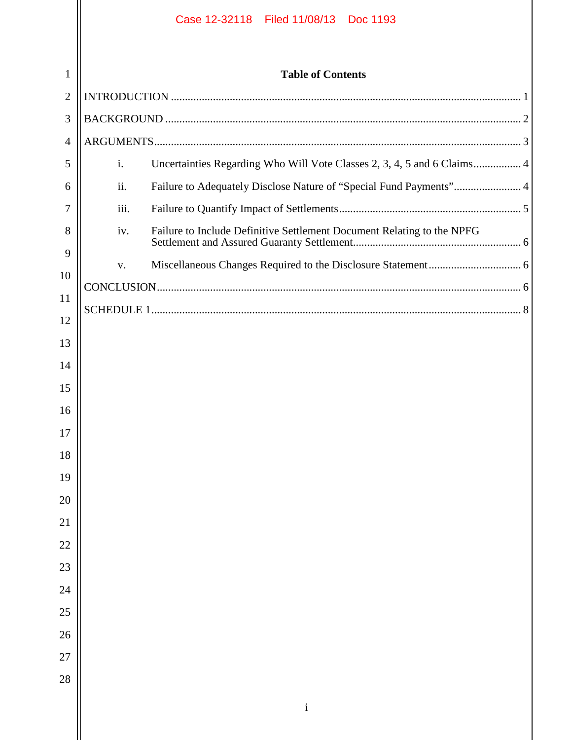| <b>Table of Contents</b><br>$\mathbf 1$<br>$\overline{2}$<br>3<br>4<br>$\mathbf{i}$ .<br>Uncertainties Regarding Who Will Vote Classes 2, 3, 4, 5 and 6 Claims 4<br>5<br>ii.<br>Failure to Adequately Disclose Nature of "Special Fund Payments" 4<br>6<br>iii.<br>7<br>8<br>Failure to Include Definitive Settlement Document Relating to the NPFG<br>iv.<br>9<br>V.<br>10 |  |
|-----------------------------------------------------------------------------------------------------------------------------------------------------------------------------------------------------------------------------------------------------------------------------------------------------------------------------------------------------------------------------|--|
|                                                                                                                                                                                                                                                                                                                                                                             |  |
|                                                                                                                                                                                                                                                                                                                                                                             |  |
|                                                                                                                                                                                                                                                                                                                                                                             |  |
|                                                                                                                                                                                                                                                                                                                                                                             |  |
|                                                                                                                                                                                                                                                                                                                                                                             |  |
|                                                                                                                                                                                                                                                                                                                                                                             |  |
|                                                                                                                                                                                                                                                                                                                                                                             |  |
|                                                                                                                                                                                                                                                                                                                                                                             |  |
|                                                                                                                                                                                                                                                                                                                                                                             |  |
|                                                                                                                                                                                                                                                                                                                                                                             |  |
| 11                                                                                                                                                                                                                                                                                                                                                                          |  |
| 12                                                                                                                                                                                                                                                                                                                                                                          |  |
| 13<br>14                                                                                                                                                                                                                                                                                                                                                                    |  |
| 15                                                                                                                                                                                                                                                                                                                                                                          |  |
| 16                                                                                                                                                                                                                                                                                                                                                                          |  |
| 17                                                                                                                                                                                                                                                                                                                                                                          |  |
| 18                                                                                                                                                                                                                                                                                                                                                                          |  |
| 19                                                                                                                                                                                                                                                                                                                                                                          |  |
| $20\,$                                                                                                                                                                                                                                                                                                                                                                      |  |
| 21                                                                                                                                                                                                                                                                                                                                                                          |  |
| $22\,$                                                                                                                                                                                                                                                                                                                                                                      |  |
| 23                                                                                                                                                                                                                                                                                                                                                                          |  |
| $24\,$                                                                                                                                                                                                                                                                                                                                                                      |  |
| 25                                                                                                                                                                                                                                                                                                                                                                          |  |
| $26\,$                                                                                                                                                                                                                                                                                                                                                                      |  |
| $27\,$                                                                                                                                                                                                                                                                                                                                                                      |  |
| 28                                                                                                                                                                                                                                                                                                                                                                          |  |
| $\mathbf{i}$                                                                                                                                                                                                                                                                                                                                                                |  |
|                                                                                                                                                                                                                                                                                                                                                                             |  |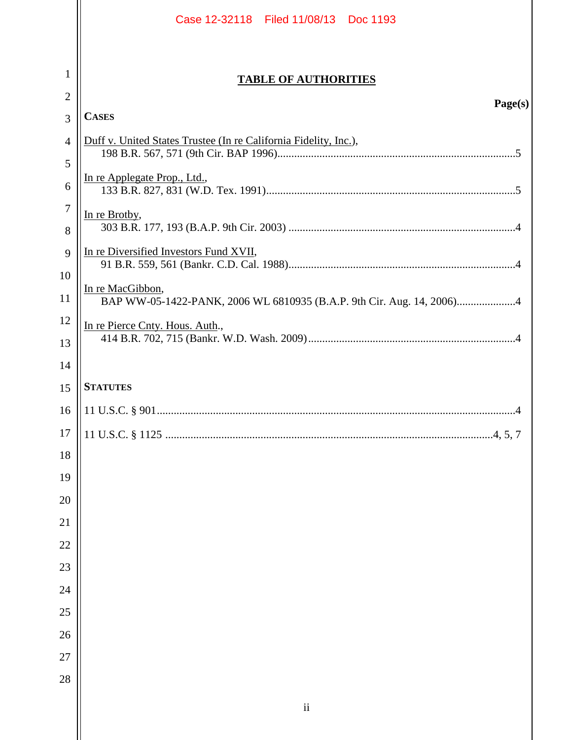|                | Case 12-32118 Filed 11/08/13 Doc 1193                            |  |
|----------------|------------------------------------------------------------------|--|
| 1              |                                                                  |  |
| $\overline{2}$ | <b>TABLE OF AUTHORITIES</b>                                      |  |
| 3              | Page(s)<br><b>CASES</b>                                          |  |
| $\overline{4}$ | Duff v. United States Trustee (In re California Fidelity, Inc.), |  |
| 5              |                                                                  |  |
| 6              | In re Applegate Prop., Ltd.,                                     |  |
| 7              | In re Brotby,                                                    |  |
| 8              |                                                                  |  |
| 9              | In re Diversified Investors Fund XVII,                           |  |
| 10             | In re MacGibbon,                                                 |  |
| 11             |                                                                  |  |
| 12<br>13       | In re Pierce Cnty. Hous. Auth.,                                  |  |
| 14             |                                                                  |  |
| 15             | <b>STATUTES</b>                                                  |  |
| 16             |                                                                  |  |
| 17             | .4, 5, 7                                                         |  |
| 18             |                                                                  |  |
| 19             |                                                                  |  |
| 20             |                                                                  |  |
| 21             |                                                                  |  |
| 22             |                                                                  |  |
| 23             |                                                                  |  |
| 24             |                                                                  |  |
| 25             |                                                                  |  |
| 26             |                                                                  |  |
| 27             |                                                                  |  |
| 28             |                                                                  |  |
|                | $\mathbf{ii}$                                                    |  |
|                |                                                                  |  |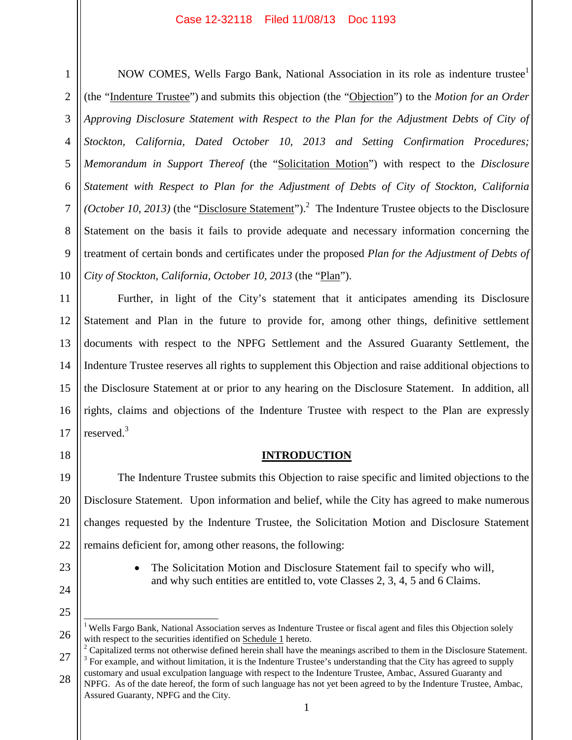4

5

6

7

8

9

1

10 NOW COMES, Wells Fargo Bank, National Association in its role as indenture trustee<sup>1</sup> (the "Indenture Trustee") and submits this objection (the "Objection") to the *Motion for an Order Approving Disclosure Statement with Respect to the Plan for the Adjustment Debts of City of Stockton, California, Dated October 10, 2013 and Setting Confirmation Procedures; Memorandum in Support Thereof* (the "Solicitation Motion") with respect to the *Disclosure Statement with Respect to Plan for the Adjustment of Debts of City of Stockton, California* (*October 10, 2013*) (the "*Disclosure Statement*").<sup>2</sup> The Indenture Trustee objects to the Disclosure Statement on the basis it fails to provide adequate and necessary information concerning the treatment of certain bonds and certificates under the proposed *Plan for the Adjustment of Debts of City of Stockton, California, October 10, 2013* (the "Plan").

11 12 13 14 15 16 17 Further, in light of the City's statement that it anticipates amending its Disclosure Statement and Plan in the future to provide for, among other things, definitive settlement documents with respect to the NPFG Settlement and the Assured Guaranty Settlement, the Indenture Trustee reserves all rights to supplement this Objection and raise additional objections to the Disclosure Statement at or prior to any hearing on the Disclosure Statement. In addition, all rights, claims and objections of the Indenture Trustee with respect to the Plan are expressly reserved.<sup>3</sup>

18

### **INTRODUCTION**

19 20 22 The Indenture Trustee submits this Objection to raise specific and limited objections to the Disclosure Statement. Upon information and belief, while the City has agreed to make numerous changes requested by the Indenture Trustee, the Solicitation Motion and Disclosure Statement remains deficient for, among other reasons, the following:

> The Solicitation Motion and Disclosure Statement fail to specify who will, and why such entities are entitled to, vote Classes 2, 3, 4, 5 and 6 Claims.

23

21

24

25

<sup>26</sup> <sup>1</sup> Wells Fargo Bank, National Association serves as Indenture Trustee or fiscal agent and files this Objection solely with respect to the securities identified on Schedule 1 hereto.

<sup>27</sup> <sup>2</sup> Capitalized terms not otherwise defined herein shall have the meanings ascribed to them in the Disclosure Statement.  $3$  For example, and without limitation, it is the Indenture Trustee's understanding that the City has agreed to supply customary and usual exculpation language with respect to the Indenture Trustee, Ambac, Assured Guaranty and

<sup>28</sup> NPFG. As of the date hereof, the form of such language has not yet been agreed to by the Indenture Trustee, Ambac, Assured Guaranty, NPFG and the City.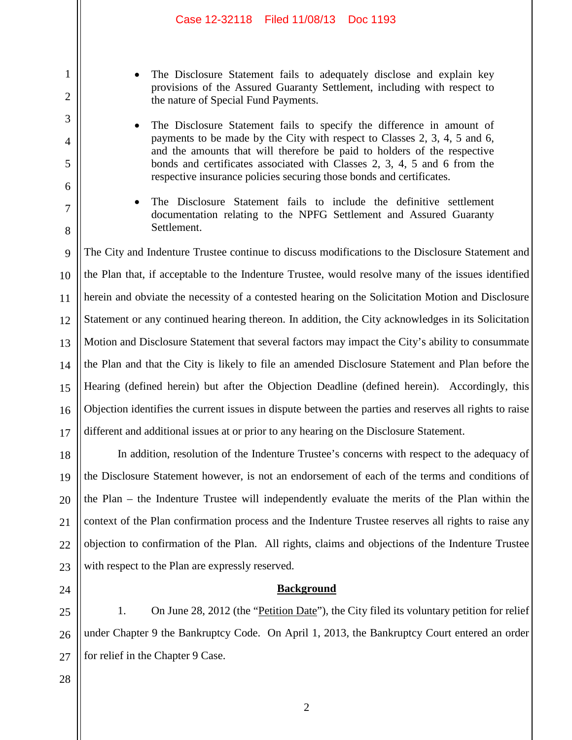- The Disclosure Statement fails to adequately disclose and explain key provisions of the Assured Guaranty Settlement, including with respect to the nature of Special Fund Payments.
- The Disclosure Statement fails to specify the difference in amount of payments to be made by the City with respect to Classes 2, 3, 4, 5 and 6, and the amounts that will therefore be paid to holders of the respective bonds and certificates associated with Classes 2, 3, 4, 5 and 6 from the respective insurance policies securing those bonds and certificates.
- The Disclosure Statement fails to include the definitive settlement documentation relating to the NPFG Settlement and Assured Guaranty Settlement.

9 10 11 12 13 14 15 16 17 The City and Indenture Trustee continue to discuss modifications to the Disclosure Statement and the Plan that, if acceptable to the Indenture Trustee, would resolve many of the issues identified herein and obviate the necessity of a contested hearing on the Solicitation Motion and Disclosure Statement or any continued hearing thereon. In addition, the City acknowledges in its Solicitation Motion and Disclosure Statement that several factors may impact the City's ability to consummate the Plan and that the City is likely to file an amended Disclosure Statement and Plan before the Hearing (defined herein) but after the Objection Deadline (defined herein). Accordingly, this Objection identifies the current issues in dispute between the parties and reserves all rights to raise different and additional issues at or prior to any hearing on the Disclosure Statement.

18 19 20 21 22 23 In addition, resolution of the Indenture Trustee's concerns with respect to the adequacy of the Disclosure Statement however, is not an endorsement of each of the terms and conditions of the Plan – the Indenture Trustee will independently evaluate the merits of the Plan within the context of the Plan confirmation process and the Indenture Trustee reserves all rights to raise any objection to confirmation of the Plan. All rights, claims and objections of the Indenture Trustee with respect to the Plan are expressly reserved.

**Background**

25 26 27 1. On June 28, 2012 (the "Petition Date"), the City filed its voluntary petition for relief under Chapter 9 the Bankruptcy Code. On April 1, 2013, the Bankruptcy Court entered an order for relief in the Chapter 9 Case.

28

24

1

2

3

4

5

6

7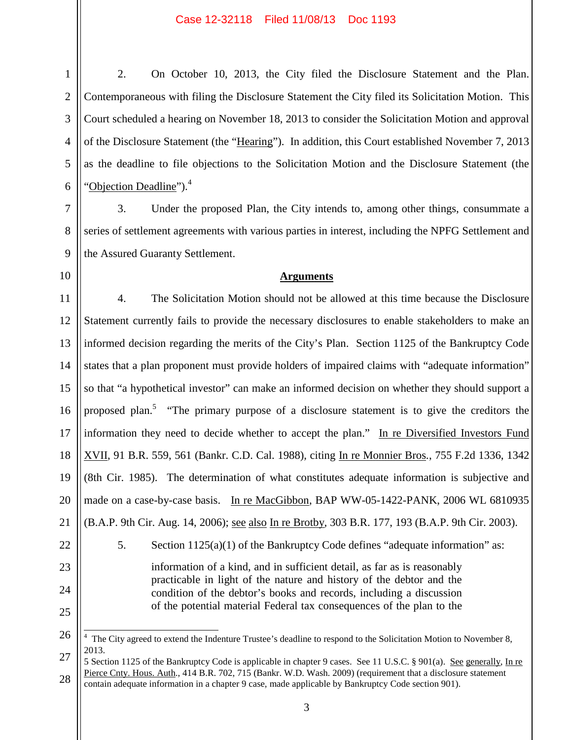2. On October 10, 2013, the City filed the Disclosure Statement and the Plan. Contemporaneous with filing the Disclosure Statement the City filed its Solicitation Motion. This Court scheduled a hearing on November 18, 2013 to consider the Solicitation Motion and approval of the Disclosure Statement (the "Hearing"). In addition, this Court established November 7, 2013 as the deadline to file objections to the Solicitation Motion and the Disclosure Statement (the "Objection Deadline"). $4$ 

3. Under the proposed Plan, the City intends to, among other things, consummate a series of settlement agreements with various parties in interest, including the NPFG Settlement and the Assured Guaranty Settlement.

### **Arguments**

4. The Solicitation Motion should not be allowed at this time because the Disclosure Statement currently fails to provide the necessary disclosures to enable stakeholders to make an informed decision regarding the merits of the City's Plan. Section 1125 of the Bankruptcy Code states that a plan proponent must provide holders of impaired claims with "adequate information" so that "a hypothetical investor" can make an informed decision on whether they should support a proposed plan.<sup>5</sup> "The primary purpose of a disclosure statement is to give the creditors the information they need to decide whether to accept the plan." In re Diversified Investors Fund XVII, 91 B.R. 559, 561 (Bankr. C.D. Cal. 1988), citing In re Monnier Bros*.*, 755 F.2d 1336, 1342 (8th Cir. 1985). The determination of what constitutes adequate information is subjective and made on a case-by-case basis. In re MacGibbon, BAP WW-05-1422-PANK, 2006 WL 6810935 (B.A.P. 9th Cir. Aug. 14, 2006); see also In re Brotby*,* 303 B.R. 177, 193 (B.A.P. 9th Cir. 2003). 5. Section 1125(a)(1) of the Bankruptcy Code defines "adequate information" as: information of a kind, and in sufficient detail, as far as is reasonably practicable in light of the nature and history of the debtor and the condition of the debtor's books and records, including a discussion

of the potential material Federal tax consequences of the plan to the

<sup>&</sup>lt;sup>4</sup> The City agreed to extend the Indenture Trustee's deadline to respond to the Solicitation Motion to November 8, 2013.

<sup>28</sup> 5 Section 1125 of the Bankruptcy Code is applicable in chapter 9 cases. See 11 U.S.C. § 901(a). See generally, In re Pierce Cnty. Hous. Auth., 414 B.R. 702, 715 (Bankr. W.D. Wash. 2009) (requirement that a disclosure statement contain adequate information in a chapter 9 case, made applicable by Bankruptcy Code section 901).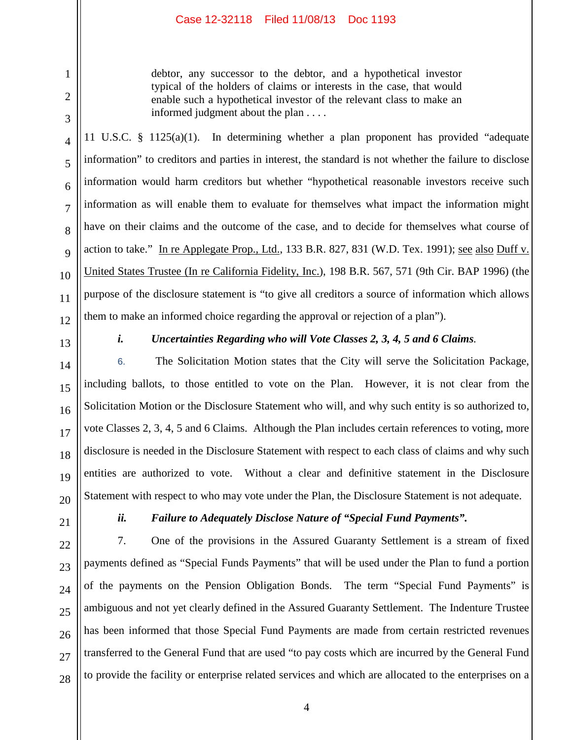debtor, any successor to the debtor, and a hypothetical investor typical of the holders of claims or interests in the case, that would enable such a hypothetical investor of the relevant class to make an informed judgment about the plan . . . .

11 U.S.C. § 1125(a)(1). In determining whether a plan proponent has provided "adequate information" to creditors and parties in interest, the standard is not whether the failure to disclose information would harm creditors but whether "hypothetical reasonable investors receive such information as will enable them to evaluate for themselves what impact the information might have on their claims and the outcome of the case, and to decide for themselves what course of action to take." In re Applegate Prop., Ltd., 133 B.R. 827, 831 (W.D. Tex. 1991); see also Duff v. United States Trustee (In re California Fidelity, Inc.), 198 B.R. 567, 571 (9th Cir. BAP 1996) (the purpose of the disclosure statement is "to give all creditors a source of information which allows them to make an informed choice regarding the approval or rejection of a plan").

13

1

2

3

4

5

6

7

8

 $\overline{Q}$ 

10

11

12

14

15

16

17

18

19

20

21

27

# *i. Uncertainties Regarding who will Vote Classes 2, 3, 4, 5 and 6 Claims.*

6. The Solicitation Motion states that the City will serve the Solicitation Package, including ballots, to those entitled to vote on the Plan. However, it is not clear from the Solicitation Motion or the Disclosure Statement who will, and why such entity is so authorized to, vote Classes 2, 3, 4, 5 and 6 Claims. Although the Plan includes certain references to voting, more disclosure is needed in the Disclosure Statement with respect to each class of claims and why such entities are authorized to vote. Without a clear and definitive statement in the Disclosure Statement with respect to who may vote under the Plan, the Disclosure Statement is not adequate.

# *ii. Failure to Adequately Disclose Nature of "Special Fund Payments".*

22 23 24 25 26 28 7. One of the provisions in the Assured Guaranty Settlement is a stream of fixed payments defined as "Special Funds Payments" that will be used under the Plan to fund a portion of the payments on the Pension Obligation Bonds. The term "Special Fund Payments" is ambiguous and not yet clearly defined in the Assured Guaranty Settlement. The Indenture Trustee has been informed that those Special Fund Payments are made from certain restricted revenues transferred to the General Fund that are used "to pay costs which are incurred by the General Fund to provide the facility or enterprise related services and which are allocated to the enterprises on a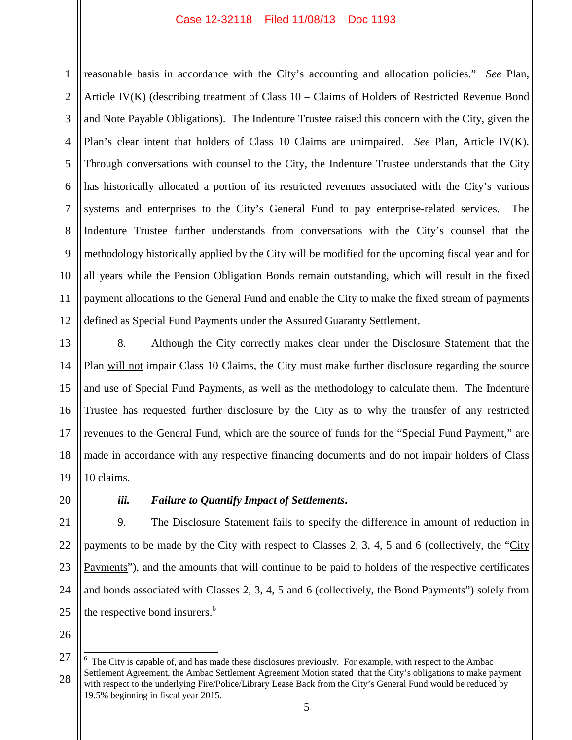1 2 3 4 5 6 7 8 9 10 11 12 reasonable basis in accordance with the City's accounting and allocation policies." *See* Plan, Article IV(K) (describing treatment of Class 10 – Claims of Holders of Restricted Revenue Bond and Note Payable Obligations). The Indenture Trustee raised this concern with the City, given the Plan's clear intent that holders of Class 10 Claims are unimpaired. *See* Plan, Article IV(K). Through conversations with counsel to the City, the Indenture Trustee understands that the City has historically allocated a portion of its restricted revenues associated with the City's various systems and enterprises to the City's General Fund to pay enterprise-related services. The Indenture Trustee further understands from conversations with the City's counsel that the methodology historically applied by the City will be modified for the upcoming fiscal year and for all years while the Pension Obligation Bonds remain outstanding, which will result in the fixed payment allocations to the General Fund and enable the City to make the fixed stream of payments defined as Special Fund Payments under the Assured Guaranty Settlement.

13 14 15 16 17 18 19 8. Although the City correctly makes clear under the Disclosure Statement that the Plan will not impair Class 10 Claims, the City must make further disclosure regarding the source and use of Special Fund Payments, as well as the methodology to calculate them. The Indenture Trustee has requested further disclosure by the City as to why the transfer of any restricted revenues to the General Fund, which are the source of funds for the "Special Fund Payment," are made in accordance with any respective financing documents and do not impair holders of Class 10 claims.

20

## *iii. Failure to Quantify Impact of Settlements***.**

21 22 23 24 25 9. The Disclosure Statement fails to specify the difference in amount of reduction in payments to be made by the City with respect to Classes 2, 3, 4, 5 and 6 (collectively, the "City Payments"), and the amounts that will continue to be paid to holders of the respective certificates and bonds associated with Classes 2, 3, 4, 5 and 6 (collectively, the Bond Payments") solely from the respective bond insurers.<sup>6</sup>

<sup>27</sup> 28 The City is capable of, and has made these disclosures previously. For example, with respect to the Ambac Settlement Agreement, the Ambac Settlement Agreement Motion stated that the City's obligations to make payment with respect to the underlying Fire/Police/Library Lease Back from the City's General Fund would be reduced by 19.5% beginning in fiscal year 2015.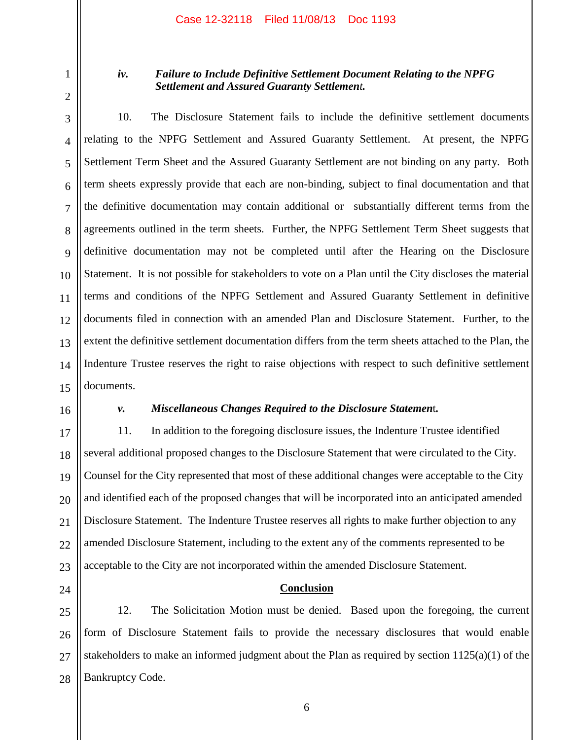1 2

3

4

5

6

7

8

9

11

### *iv. Failure to Include Definitive Settlement Document Relating to the NPFG Settlement and Assured Guaranty Settlement.*

10 12 13 14 15 10. The Disclosure Statement fails to include the definitive settlement documents relating to the NPFG Settlement and Assured Guaranty Settlement. At present, the NPFG Settlement Term Sheet and the Assured Guaranty Settlement are not binding on any party. Both term sheets expressly provide that each are non-binding, subject to final documentation and that the definitive documentation may contain additional or substantially different terms from the agreements outlined in the term sheets. Further, the NPFG Settlement Term Sheet suggests that definitive documentation may not be completed until after the Hearing on the Disclosure Statement. It is not possible for stakeholders to vote on a Plan until the City discloses the material terms and conditions of the NPFG Settlement and Assured Guaranty Settlement in definitive documents filed in connection with an amended Plan and Disclosure Statement. Further, to the extent the definitive settlement documentation differs from the term sheets attached to the Plan, the Indenture Trustee reserves the right to raise objections with respect to such definitive settlement documents.

16

#### *v. Miscellaneous Changes Required to the Disclosure Statemen*t*.*

17 18 19 20 21 22 23 11. In addition to the foregoing disclosure issues, the Indenture Trustee identified several additional proposed changes to the Disclosure Statement that were circulated to the City. Counsel for the City represented that most of these additional changes were acceptable to the City and identified each of the proposed changes that will be incorporated into an anticipated amended Disclosure Statement. The Indenture Trustee reserves all rights to make further objection to any amended Disclosure Statement, including to the extent any of the comments represented to be acceptable to the City are not incorporated within the amended Disclosure Statement.

24

25 26 27 28 12. The Solicitation Motion must be denied. Based upon the foregoing, the current form of Disclosure Statement fails to provide the necessary disclosures that would enable stakeholders to make an informed judgment about the Plan as required by section 1125(a)(1) of the Bankruptcy Code.

**Conclusion**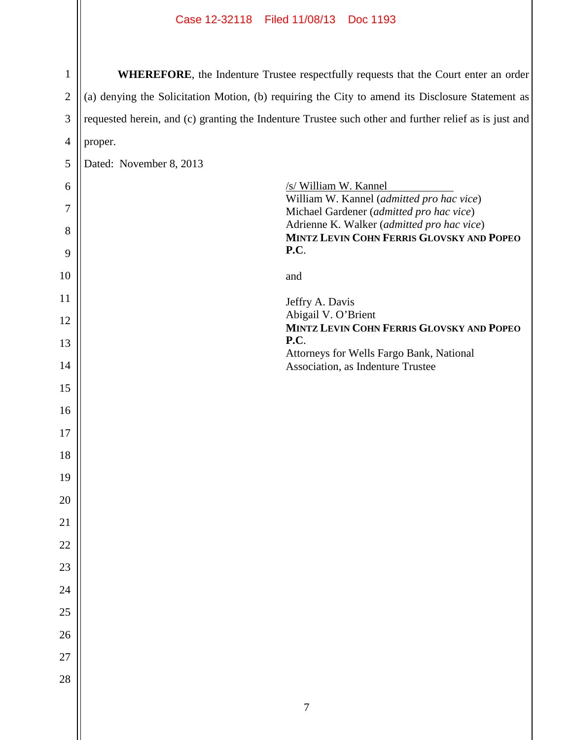| $\mathbf{1}$   |                         | WHEREFORE, the Indenture Trustee respectfully requests that the Court enter an order                  |  |
|----------------|-------------------------|-------------------------------------------------------------------------------------------------------|--|
| $\mathbf{2}$   |                         | (a) denying the Solicitation Motion, (b) requiring the City to amend its Disclosure Statement as      |  |
| 3              |                         | requested herein, and (c) granting the Indenture Trustee such other and further relief as is just and |  |
| $\overline{4}$ | proper.                 |                                                                                                       |  |
| 5              | Dated: November 8, 2013 |                                                                                                       |  |
| 6              |                         | /s/ William W. Kannel                                                                                 |  |
| 7              |                         | William W. Kannel (admitted pro hac vice)<br>Michael Gardener (admitted pro hac vice)                 |  |
| 8              |                         | Adrienne K. Walker (admitted pro hac vice)<br>MINTZ LEVIN COHN FERRIS GLOVSKY AND POPEO               |  |
| 9              |                         | P.C.                                                                                                  |  |
| 10             |                         | and                                                                                                   |  |
| 11             |                         | Jeffry A. Davis                                                                                       |  |
| 12             |                         | Abigail V. O'Brient<br>MINTZ LEVIN COHN FERRIS GLOVSKY AND POPEO                                      |  |
| 13             |                         | P.C.<br>Attorneys for Wells Fargo Bank, National                                                      |  |
| 14             |                         | Association, as Indenture Trustee                                                                     |  |
| 15             |                         |                                                                                                       |  |
| 16             |                         |                                                                                                       |  |
| 17             |                         |                                                                                                       |  |
| 18             |                         |                                                                                                       |  |
| 19             |                         |                                                                                                       |  |
| 20             |                         |                                                                                                       |  |
| 21             |                         |                                                                                                       |  |
| 22             |                         |                                                                                                       |  |
| 23             |                         |                                                                                                       |  |
| 24             |                         |                                                                                                       |  |
| 25             |                         |                                                                                                       |  |
| 26             |                         |                                                                                                       |  |
| 27             |                         |                                                                                                       |  |
| 28             |                         |                                                                                                       |  |
|                |                         | $\tau$                                                                                                |  |
|                |                         |                                                                                                       |  |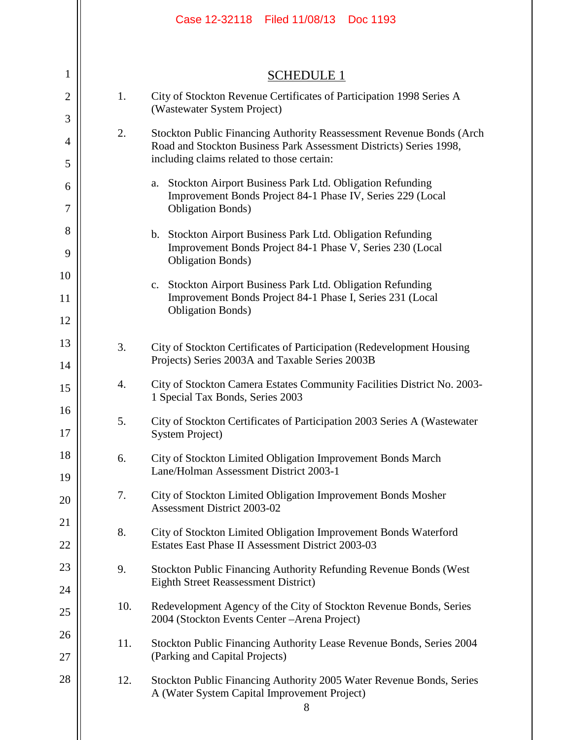|                     |     | Case 12-32118 Filed 11/08/13 Doc 1193                                                                                     |
|---------------------|-----|---------------------------------------------------------------------------------------------------------------------------|
| 1                   |     | <b>SCHEDULE 1</b>                                                                                                         |
|                     | 1.  | City of Stockton Revenue Certificates of Participation 1998 Series A                                                      |
| $\overline{2}$<br>3 |     | (Wastewater System Project)                                                                                               |
| $\overline{4}$      | 2.  | Stockton Public Financing Authority Reassessment Revenue Bonds (Arch                                                      |
| 5                   |     | Road and Stockton Business Park Assessment Districts) Series 1998,<br>including claims related to those certain:          |
| 6                   |     | Stockton Airport Business Park Ltd. Obligation Refunding<br>a.                                                            |
| 7                   |     | Improvement Bonds Project 84-1 Phase IV, Series 229 (Local<br><b>Obligation Bonds</b> )                                   |
| 8                   |     | b. Stockton Airport Business Park Ltd. Obligation Refunding                                                               |
| 9                   |     | Improvement Bonds Project 84-1 Phase V, Series 230 (Local<br><b>Obligation Bonds</b> )                                    |
| 10                  |     | Stockton Airport Business Park Ltd. Obligation Refunding<br>$\mathbf{c}$ .                                                |
| 11                  |     | Improvement Bonds Project 84-1 Phase I, Series 231 (Local<br><b>Obligation Bonds)</b>                                     |
| 12                  |     |                                                                                                                           |
| 13                  | 3.  | City of Stockton Certificates of Participation (Redevelopment Housing                                                     |
| 14                  |     | Projects) Series 2003A and Taxable Series 2003B                                                                           |
| 15<br>16            | 4.  | City of Stockton Camera Estates Community Facilities District No. 2003-<br>1 Special Tax Bonds, Series 2003               |
| 17                  | 5.  | City of Stockton Certificates of Participation 2003 Series A (Wastewater<br><b>System Project</b> )                       |
| 18                  | 6.  | City of Stockton Limited Obligation Improvement Bonds March                                                               |
| 19                  |     | Lane/Holman Assessment District 2003-1                                                                                    |
| 20                  | 7.  | City of Stockton Limited Obligation Improvement Bonds Mosher<br>Assessment District 2003-02                               |
| 21                  | 8.  | City of Stockton Limited Obligation Improvement Bonds Waterford                                                           |
| 22                  |     | Estates East Phase II Assessment District 2003-03                                                                         |
| 23                  | 9.  | Stockton Public Financing Authority Refunding Revenue Bonds (West                                                         |
| 24                  |     | <b>Eighth Street Reassessment District)</b>                                                                               |
| 25                  | 10. | Redevelopment Agency of the City of Stockton Revenue Bonds, Series<br>2004 (Stockton Events Center - Arena Project)       |
| 26                  | 11. | Stockton Public Financing Authority Lease Revenue Bonds, Series 2004                                                      |
| 27                  |     | (Parking and Capital Projects)                                                                                            |
| 28                  | 12. | Stockton Public Financing Authority 2005 Water Revenue Bonds, Series<br>A (Water System Capital Improvement Project)<br>8 |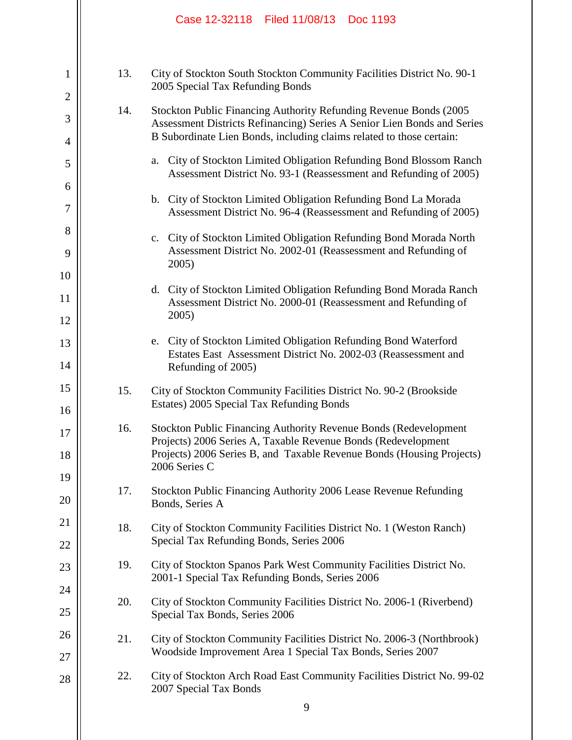|                     |     | Case 12-32118 Filed 11/08/13<br>Doc 1193                                                                                                      |
|---------------------|-----|-----------------------------------------------------------------------------------------------------------------------------------------------|
| 1                   | 13. | City of Stockton South Stockton Community Facilities District No. 90-1<br>2005 Special Tax Refunding Bonds                                    |
| $\overline{2}$<br>3 | 14. | Stockton Public Financing Authority Refunding Revenue Bonds (2005)<br>Assessment Districts Refinancing) Series A Senior Lien Bonds and Series |
| $\overline{4}$      |     | B Subordinate Lien Bonds, including claims related to those certain:                                                                          |
| 5                   |     | City of Stockton Limited Obligation Refunding Bond Blossom Ranch<br>a.<br>Assessment District No. 93-1 (Reassessment and Refunding of 2005)   |
| 6<br>7              |     | b. City of Stockton Limited Obligation Refunding Bond La Morada<br>Assessment District No. 96-4 (Reassessment and Refunding of 2005)          |
| 8                   |     | c. City of Stockton Limited Obligation Refunding Bond Morada North                                                                            |
| 9                   |     | Assessment District No. 2002-01 (Reassessment and Refunding of<br>2005)                                                                       |
| 10                  |     |                                                                                                                                               |
| 11                  |     | d. City of Stockton Limited Obligation Refunding Bond Morada Ranch<br>Assessment District No. 2000-01 (Reassessment and Refunding of          |
| 12                  |     | 2005)                                                                                                                                         |
| 13<br>14            |     | City of Stockton Limited Obligation Refunding Bond Waterford<br>e.<br>Estates East Assessment District No. 2002-03 (Reassessment and          |
| 15                  |     | Refunding of 2005)                                                                                                                            |
| 16                  | 15. | City of Stockton Community Facilities District No. 90-2 (Brookside<br>Estates) 2005 Special Tax Refunding Bonds                               |
| 17                  | 16. | <b>Stockton Public Financing Authority Revenue Bonds (Redevelopment</b><br>Projects) 2006 Series A, Taxable Revenue Bonds (Redevelopment      |
| 18                  |     | Projects) 2006 Series B, and Taxable Revenue Bonds (Housing Projects)<br>2006 Series C                                                        |
| 19                  | 17. | Stockton Public Financing Authority 2006 Lease Revenue Refunding                                                                              |
| 20                  |     | Bonds, Series A                                                                                                                               |
| 21                  | 18. | City of Stockton Community Facilities District No. 1 (Weston Ranch)                                                                           |
| 22                  |     | Special Tax Refunding Bonds, Series 2006                                                                                                      |
| 23                  | 19. | City of Stockton Spanos Park West Community Facilities District No.<br>2001-1 Special Tax Refunding Bonds, Series 2006                        |
| 24                  | 20. | City of Stockton Community Facilities District No. 2006-1 (Riverbend)                                                                         |
| 25                  |     | Special Tax Bonds, Series 2006                                                                                                                |
| 26<br>27            | 21. | City of Stockton Community Facilities District No. 2006-3 (Northbrook)<br>Woodside Improvement Area 1 Special Tax Bonds, Series 2007          |
| 28                  | 22. | City of Stockton Arch Road East Community Facilities District No. 99-02<br>2007 Special Tax Bonds                                             |
|                     |     | 9                                                                                                                                             |